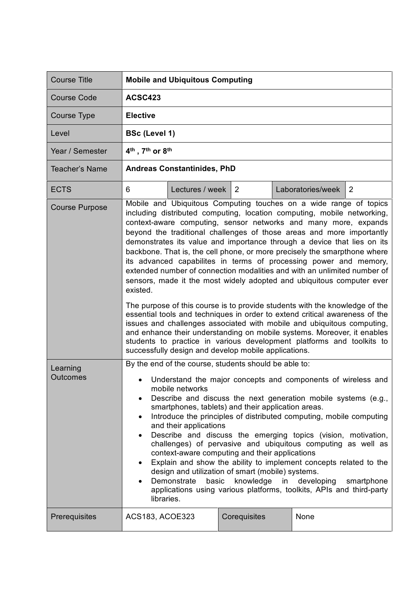| <b>Course Title</b>   | <b>Mobile and Ubiquitous Computing</b>                                                                                                                                                                                                                                                                                                                                                                                                                                                                                                                                                                                                                                                                                                                                                                                                                                                                                                                                                                                                                                                                                                     |                 |              |  |                   |   |
|-----------------------|--------------------------------------------------------------------------------------------------------------------------------------------------------------------------------------------------------------------------------------------------------------------------------------------------------------------------------------------------------------------------------------------------------------------------------------------------------------------------------------------------------------------------------------------------------------------------------------------------------------------------------------------------------------------------------------------------------------------------------------------------------------------------------------------------------------------------------------------------------------------------------------------------------------------------------------------------------------------------------------------------------------------------------------------------------------------------------------------------------------------------------------------|-----------------|--------------|--|-------------------|---|
| <b>Course Code</b>    | <b>ACSC423</b>                                                                                                                                                                                                                                                                                                                                                                                                                                                                                                                                                                                                                                                                                                                                                                                                                                                                                                                                                                                                                                                                                                                             |                 |              |  |                   |   |
| Course Type           | <b>Elective</b>                                                                                                                                                                                                                                                                                                                                                                                                                                                                                                                                                                                                                                                                                                                                                                                                                                                                                                                                                                                                                                                                                                                            |                 |              |  |                   |   |
| Level                 | <b>BSc (Level 1)</b>                                                                                                                                                                                                                                                                                                                                                                                                                                                                                                                                                                                                                                                                                                                                                                                                                                                                                                                                                                                                                                                                                                                       |                 |              |  |                   |   |
| Year / Semester       | 4 <sup>th</sup> , 7 <sup>th</sup> or 8 <sup>th</sup>                                                                                                                                                                                                                                                                                                                                                                                                                                                                                                                                                                                                                                                                                                                                                                                                                                                                                                                                                                                                                                                                                       |                 |              |  |                   |   |
| <b>Teacher's Name</b> | <b>Andreas Constantinides, PhD</b>                                                                                                                                                                                                                                                                                                                                                                                                                                                                                                                                                                                                                                                                                                                                                                                                                                                                                                                                                                                                                                                                                                         |                 |              |  |                   |   |
| <b>ECTS</b>           | 6                                                                                                                                                                                                                                                                                                                                                                                                                                                                                                                                                                                                                                                                                                                                                                                                                                                                                                                                                                                                                                                                                                                                          | Lectures / week | 2            |  | Laboratories/week | 2 |
| <b>Course Purpose</b> | Mobile and Ubiquitous Computing touches on a wide range of topics<br>including distributed computing, location computing, mobile networking,<br>context-aware computing, sensor networks and many more, expands<br>beyond the traditional challenges of those areas and more importantly<br>demonstrates its value and importance through a device that lies on its<br>backbone. That is, the cell phone, or more precisely the smarpthone where<br>its advanced capabilites in terms of processing power and memory,<br>extended number of connection modalities and with an unlimited number of<br>sensors, made it the most widely adopted and ubiquitous computer ever<br>existed.<br>The purpose of this course is to provide students with the knowledge of the<br>essential tools and techniques in order to extend critical awareness of the<br>issues and challenges associated with mobile and ubiquitous computing,<br>and enhance their understanding on mobile systems. Moreover, it enables<br>students to practice in various development platforms and toolkits to<br>successfully design and develop mobile applications. |                 |              |  |                   |   |
| Learning<br>Outcomes  | By the end of the course, students should be able to:<br>Understand the major concepts and components of wireless and<br>mobile networks<br>Describe and discuss the next generation mobile systems (e.g.,<br>$\bullet$<br>smartphones, tablets) and their application areas.<br>Introduce the principles of distributed computing, mobile computing<br>$\bullet$<br>and their applications<br>Describe and discuss the emerging topics (vision, motivation,<br>challenges) of pervasive and ubiquitous computing as well as<br>context-aware computing and their applications<br>Explain and show the ability to implement concepts related to the<br>٠<br>design and utilization of smart (mobile) systems.<br>knowledge<br>Demonstrate<br>basic<br>in<br>developing<br>smartphone<br>applications using various platforms, toolkits, APIs and third-party<br>libraries.                                                                                                                                                                                                                                                                 |                 |              |  |                   |   |
| Prerequisites         | ACS183, ACOE323                                                                                                                                                                                                                                                                                                                                                                                                                                                                                                                                                                                                                                                                                                                                                                                                                                                                                                                                                                                                                                                                                                                            |                 | Corequisites |  | None              |   |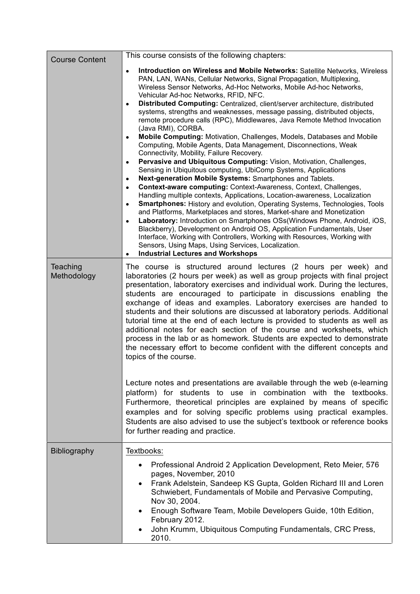| <b>Course Content</b>   | This course consists of the following chapters:                                                                                                                                                                                                                                                                                                                                                                                                                                                                                                                                                                                                                                                                                                                                                                                                                                                                                                                                                                                                                                                                                                                                                                                                                                                                                                                                                                                                                                                                                                                                                                                                                                     |  |  |  |  |
|-------------------------|-------------------------------------------------------------------------------------------------------------------------------------------------------------------------------------------------------------------------------------------------------------------------------------------------------------------------------------------------------------------------------------------------------------------------------------------------------------------------------------------------------------------------------------------------------------------------------------------------------------------------------------------------------------------------------------------------------------------------------------------------------------------------------------------------------------------------------------------------------------------------------------------------------------------------------------------------------------------------------------------------------------------------------------------------------------------------------------------------------------------------------------------------------------------------------------------------------------------------------------------------------------------------------------------------------------------------------------------------------------------------------------------------------------------------------------------------------------------------------------------------------------------------------------------------------------------------------------------------------------------------------------------------------------------------------------|--|--|--|--|
|                         | Introduction on Wireless and Mobile Networks: Satellite Networks, Wireless<br>$\bullet$<br>PAN, LAN, WANs, Cellular Networks, Signal Propagation, Multiplexing,<br>Wireless Sensor Networks, Ad-Hoc Networks, Mobile Ad-hoc Networks,<br>Vehicular Ad-hoc Networks, RFID, NFC.<br>Distributed Computing: Centralized, client/server architecture, distributed<br>$\bullet$<br>systems, strengths and weaknesses, message passing, distributed objects,<br>remote procedure calls (RPC), Middlewares, Java Remote Method Invocation<br>(Java RMI), CORBA.<br>Mobile Computing: Motivation, Challenges, Models, Databases and Mobile<br>$\bullet$<br>Computing, Mobile Agents, Data Management, Disconnections, Weak<br>Connectivity, Mobility, Failure Recovery.<br>Pervasive and Ubiquitous Computing: Vision, Motivation, Challenges,<br>$\bullet$<br>Sensing in Ubiquitous computing, UbiComp Systems, Applications<br>Next-generation Mobile Systems: Smartphones and Tablets.<br>$\bullet$<br>Context-aware computing: Context-Awareness, Context, Challenges,<br>$\bullet$<br>Handling multiple contexts, Applications, Location-awareness, Localization<br>Smartphones: History and evolution, Operating Systems, Technologies, Tools<br>$\bullet$<br>and Platforms, Marketplaces and stores, Market-share and Monetization<br>Laboratory: Introduction on Smartphones OSs(Windows Phone, Android, iOS,<br>$\bullet$<br>Blackberry), Development on Android OS, Application Fundamentals, User<br>Interface, Working with Controllers, Working with Resources, Working with<br>Sensors, Using Maps, Using Services, Localization.<br><b>Industrial Lectures and Workshops</b> |  |  |  |  |
| Teaching<br>Methodology | The course is structured around lectures (2 hours per week) and<br>laboratories (2 hours per week) as well as group projects with final project<br>presentation, laboratory exercises and individual work. During the lectures,<br>students are encouraged to participate in discussions enabling the<br>exchange of ideas and examples. Laboratory exercises are handed to<br>students and their solutions are discussed at laboratory periods. Additional<br>tutorial time at the end of each lecture is provided to students as well as<br>additional notes for each section of the course and worksheets, which<br>process in the lab or as homework. Students are expected to demonstrate<br>the necessary effort to become confident with the different concepts and<br>topics of the course.                                                                                                                                                                                                                                                                                                                                                                                                                                                                                                                                                                                                                                                                                                                                                                                                                                                                                 |  |  |  |  |
|                         | Lecture notes and presentations are available through the web (e-learning<br>platform) for students to use in combination with the textbooks.<br>Furthermore, theoretical principles are explained by means of specific<br>examples and for solving specific problems using practical examples.<br>Students are also advised to use the subject's textbook or reference books<br>for further reading and practice.                                                                                                                                                                                                                                                                                                                                                                                                                                                                                                                                                                                                                                                                                                                                                                                                                                                                                                                                                                                                                                                                                                                                                                                                                                                                  |  |  |  |  |
| <b>Bibliography</b>     | Textbooks:<br>Professional Android 2 Application Development, Reto Meier, 576<br>pages, November, 2010<br>Frank Adelstein, Sandeep KS Gupta, Golden Richard III and Loren<br>$\bullet$<br>Schwiebert, Fundamentals of Mobile and Pervasive Computing,<br>Nov 30, 2004.<br>Enough Software Team, Mobile Developers Guide, 10th Edition,<br>February 2012.<br>John Krumm, Ubiquitous Computing Fundamentals, CRC Press,<br>2010.                                                                                                                                                                                                                                                                                                                                                                                                                                                                                                                                                                                                                                                                                                                                                                                                                                                                                                                                                                                                                                                                                                                                                                                                                                                      |  |  |  |  |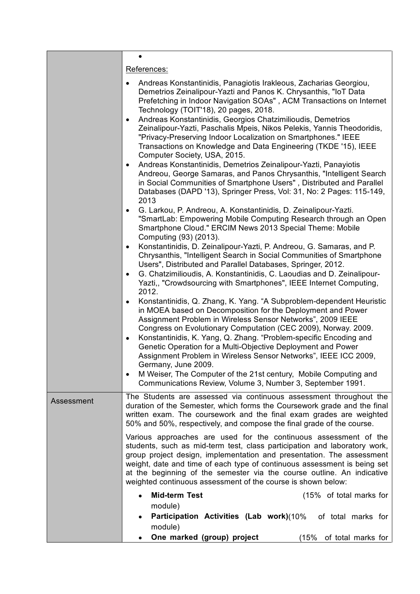|            | $\bullet$                                                                                                                                                                                                                                                                                                                                                                                                                                                                                                                                                    |  |  |  |  |
|------------|--------------------------------------------------------------------------------------------------------------------------------------------------------------------------------------------------------------------------------------------------------------------------------------------------------------------------------------------------------------------------------------------------------------------------------------------------------------------------------------------------------------------------------------------------------------|--|--|--|--|
|            | References:                                                                                                                                                                                                                                                                                                                                                                                                                                                                                                                                                  |  |  |  |  |
|            | Andreas Konstantinidis, Panagiotis Irakleous, Zacharias Georgiou,<br>$\bullet$<br>Demetrios Zeinalipour-Yazti and Panos K. Chrysanthis, "IoT Data<br>Prefetching in Indoor Navigation SOAs", ACM Transactions on Internet<br>Technology (TOIT'18), 20 pages, 2018.<br>Andreas Konstantinidis, Georgios Chatzimilioudis, Demetrios<br>$\bullet$<br>Zeinalipour-Yazti, Paschalis Mpeis, Nikos Pelekis, Yannis Theodoridis,<br>"Privacy-Preserving Indoor Localization on Smartphones." IEEE<br>Transactions on Knowledge and Data Engineering (TKDE '15), IEEE |  |  |  |  |
|            | Computer Society, USA, 2015.<br>Andreas Konstantinidis, Demetrios Zeinalipour-Yazti, Panayiotis<br>٠<br>Andreou, George Samaras, and Panos Chrysanthis, "Intelligent Search<br>in Social Communities of Smartphone Users", Distributed and Parallel<br>Databases (DAPD '13), Springer Press, Vol: 31, No: 2 Pages: 115-149,<br>2013                                                                                                                                                                                                                          |  |  |  |  |
|            | G. Larkou, P. Andreou, A. Konstantinidis, D. Zeinalipour-Yazti.<br>$\bullet$<br>"SmartLab: Empowering Mobile Computing Research through an Open<br>Smartphone Cloud." ERCIM News 2013 Special Theme: Mobile<br>Computing (93) (2013).                                                                                                                                                                                                                                                                                                                        |  |  |  |  |
|            | Konstantinidis, D. Zeinalipour-Yazti, P. Andreou, G. Samaras, and P.<br>٠<br>Chrysanthis, "Intelligent Search in Social Communities of Smartphone<br>Users", Distributed and Parallel Databases, Springer, 2012.                                                                                                                                                                                                                                                                                                                                             |  |  |  |  |
|            | G. Chatzimilioudis, A. Konstantinidis, C. Laoudias and D. Zeinalipour-<br>$\bullet$<br>Yazti,, "Crowdsourcing with Smartphones", IEEE Internet Computing,<br>2012.                                                                                                                                                                                                                                                                                                                                                                                           |  |  |  |  |
|            | Konstantinidis, Q. Zhang, K. Yang. "A Subproblem-dependent Heuristic<br>٠<br>in MOEA based on Decomposition for the Deployment and Power<br>Assignment Problem in Wireless Sensor Networks", 2009 IEEE<br>Congress on Evolutionary Computation (CEC 2009), Norway. 2009.<br>Konstantinidis, K. Yang, Q. Zhang. "Problem-specific Encoding and<br>$\bullet$<br>Genetic Operation for a Multi-Objective Deployment and Power<br>Assignment Problem in Wireless Sensor Networks", IEEE ICC 2009,<br>Germany, June 2009.                                         |  |  |  |  |
|            | M Weiser, The Computer of the 21st century, Mobile Computing and<br>Communications Review, Volume 3, Number 3, September 1991.                                                                                                                                                                                                                                                                                                                                                                                                                               |  |  |  |  |
| Assessment | The Students are assessed via continuous assessment throughout the<br>duration of the Semester, which forms the Coursework grade and the final<br>written exam. The coursework and the final exam grades are weighted<br>50% and 50%, respectively, and compose the final grade of the course.                                                                                                                                                                                                                                                               |  |  |  |  |
|            | Various approaches are used for the continuous assessment of the<br>students, such as mid-term test, class participation and laboratory work,<br>group project design, implementation and presentation. The assessment<br>weight, date and time of each type of continuous assessment is being set<br>at the beginning of the semester via the course outline. An indicative<br>weighted continuous assessment of the course is shown below:                                                                                                                 |  |  |  |  |
|            | <b>Mid-term Test</b><br>(15% of total marks for<br>module)                                                                                                                                                                                                                                                                                                                                                                                                                                                                                                   |  |  |  |  |
|            | Participation Activities (Lab work)(10% of total marks for<br>module)                                                                                                                                                                                                                                                                                                                                                                                                                                                                                        |  |  |  |  |
|            | One marked (group) project<br>(15%<br>of total marks for                                                                                                                                                                                                                                                                                                                                                                                                                                                                                                     |  |  |  |  |